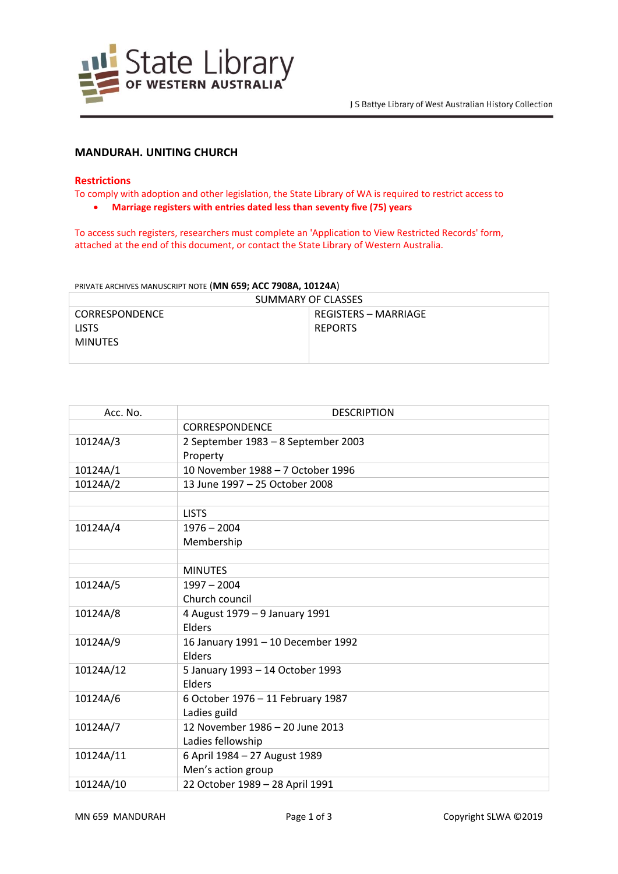

# **MANDURAH. UNITING CHURCH**

## **Restrictions**

To comply with adoption and other legislation, the State Library of WA is required to restrict access to

**Marriage registers with entries dated less than seventy five (75) years**

To access such registers, researchers must complete an 'Application to View Restricted Records' form, attached at the end of this document, or contact the State Library of Western Australia.

PRIVATE ARCHIVES MANUSCRIPT NOTE (**MN 659; ACC 7908A, 10124A**)

| SUMMARY OF CLASSES |                      |  |  |
|--------------------|----------------------|--|--|
| CORRESPONDENCE     | REGISTERS – MARRIAGE |  |  |
| <b>LISTS</b>       | <b>REPORTS</b>       |  |  |
| MINUTES            |                      |  |  |
|                    |                      |  |  |

| Acc. No.  | <b>DESCRIPTION</b>                  |
|-----------|-------------------------------------|
|           | <b>CORRESPONDENCE</b>               |
| 10124A/3  | 2 September 1983 - 8 September 2003 |
|           | Property                            |
| 10124A/1  | 10 November 1988 - 7 October 1996   |
| 10124A/2  | 13 June 1997 - 25 October 2008      |
|           |                                     |
|           | <b>LISTS</b>                        |
| 10124A/4  | $1976 - 2004$                       |
|           | Membership                          |
|           |                                     |
|           | <b>MINUTES</b>                      |
| 10124A/5  | $1997 - 2004$                       |
|           | Church council                      |
| 10124A/8  | 4 August 1979 - 9 January 1991      |
|           | Elders                              |
| 10124A/9  | 16 January 1991 - 10 December 1992  |
|           | Elders                              |
| 10124A/12 | 5 January 1993 - 14 October 1993    |
|           | Elders                              |
| 10124A/6  | 6 October 1976 - 11 February 1987   |
|           | Ladies guild                        |
| 10124A/7  | 12 November 1986 - 20 June 2013     |
|           | Ladies fellowship                   |
| 10124A/11 | 6 April 1984 - 27 August 1989       |
|           | Men's action group                  |
| 10124A/10 | 22 October 1989 - 28 April 1991     |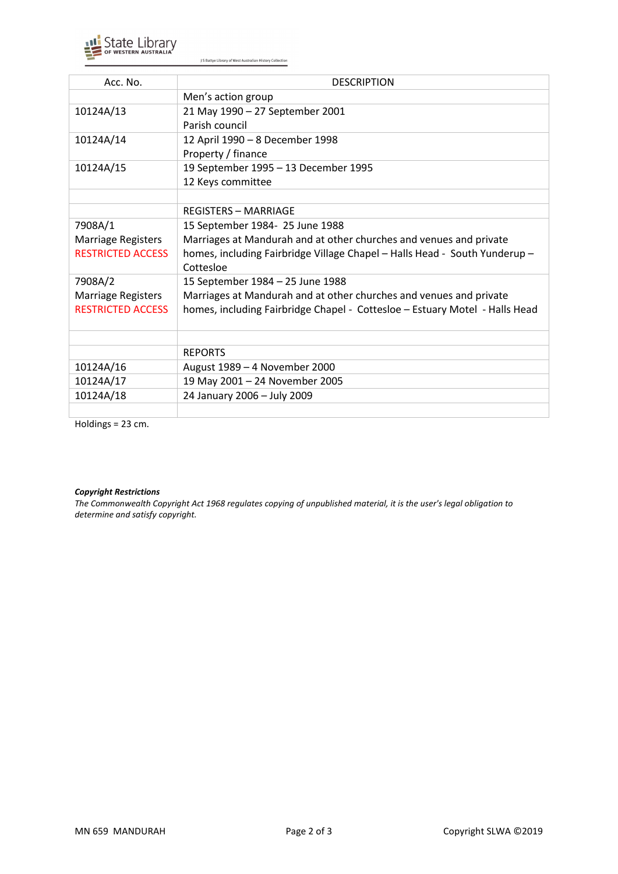

J S Battye Library of West Australian History Collection

| Acc. No.                  | <b>DESCRIPTION</b>                                                          |
|---------------------------|-----------------------------------------------------------------------------|
|                           | Men's action group                                                          |
| 10124A/13                 | 21 May 1990 - 27 September 2001                                             |
|                           | Parish council                                                              |
| 10124A/14                 | 12 April 1990 - 8 December 1998                                             |
|                           | Property / finance                                                          |
| 10124A/15                 | 19 September 1995 - 13 December 1995                                        |
|                           | 12 Keys committee                                                           |
|                           |                                                                             |
|                           | <b>REGISTERS - MARRIAGE</b>                                                 |
| 7908A/1                   | 15 September 1984- 25 June 1988                                             |
| Marriage Registers        | Marriages at Mandurah and at other churches and venues and private          |
| <b>RESTRICTED ACCESS</b>  | homes, including Fairbridge Village Chapel - Halls Head - South Yunderup -  |
|                           | Cottesloe                                                                   |
| 7908A/2                   | 15 September 1984 - 25 June 1988                                            |
| <b>Marriage Registers</b> | Marriages at Mandurah and at other churches and venues and private          |
| <b>RESTRICTED ACCESS</b>  | homes, including Fairbridge Chapel - Cottesloe - Estuary Motel - Halls Head |
|                           |                                                                             |
|                           |                                                                             |
|                           | <b>REPORTS</b>                                                              |
| 10124A/16                 | August 1989 - 4 November 2000                                               |
| 10124A/17                 | 19 May 2001 - 24 November 2005                                              |
| 10124A/18                 | 24 January 2006 - July 2009                                                 |
|                           |                                                                             |

Holdings = 23 cm.

#### *Copyright Restrictions*

*The Commonwealth Copyright Act 1968 regulates copying of unpublished material, it is the user's legal obligation to determine and satisfy copyright.*